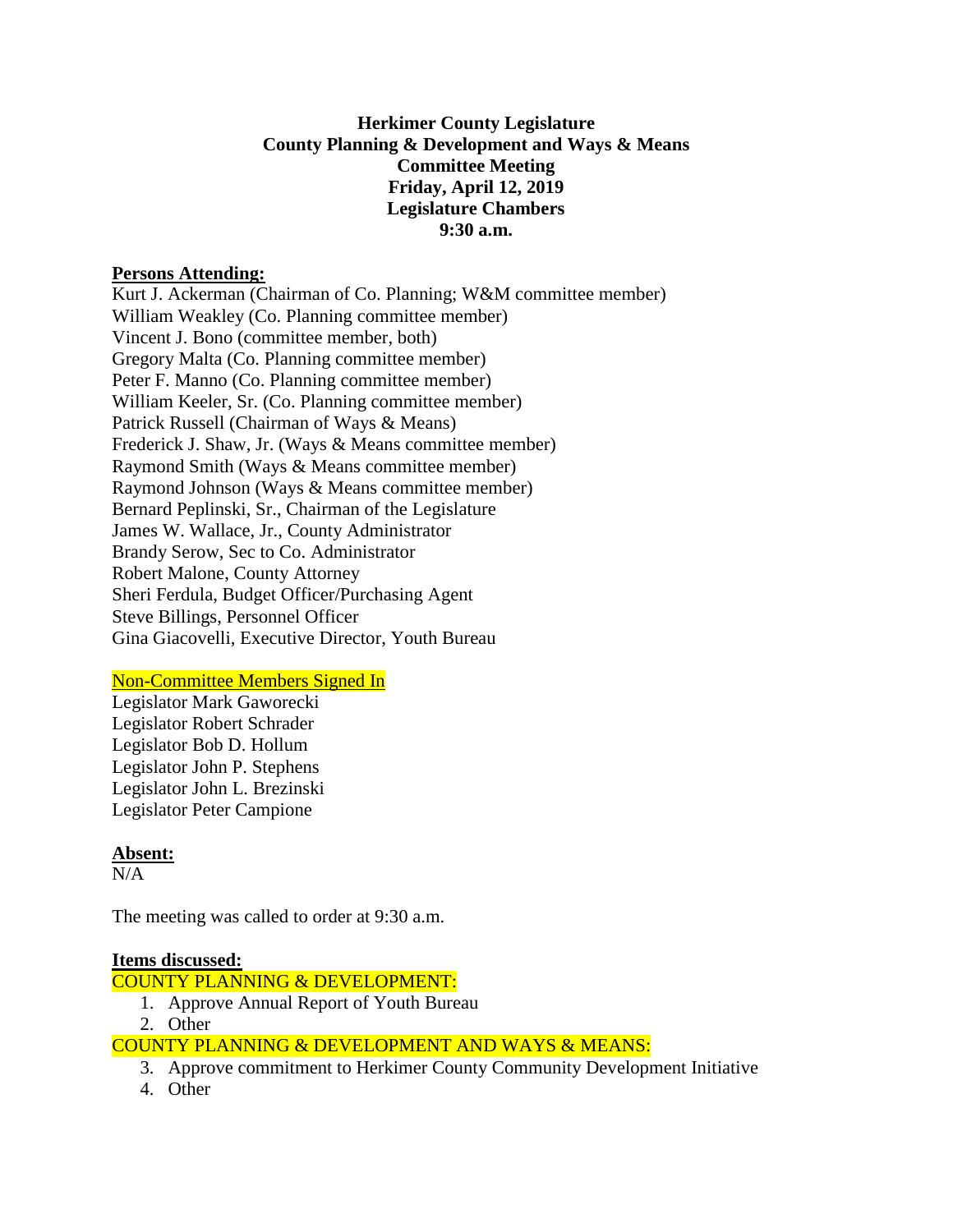# **Herkimer County Legislature County Planning & Development and Ways & Means Committee Meeting Friday, April 12, 2019 Legislature Chambers 9:30 a.m.**

#### **Persons Attending:**

Kurt J. Ackerman (Chairman of Co. Planning; W&M committee member) William Weakley (Co. Planning committee member) Vincent J. Bono (committee member, both) Gregory Malta (Co. Planning committee member) Peter F. Manno (Co. Planning committee member) William Keeler, Sr. (Co. Planning committee member) Patrick Russell (Chairman of Ways & Means) Frederick J. Shaw, Jr. (Ways & Means committee member) Raymond Smith (Ways & Means committee member) Raymond Johnson (Ways & Means committee member) Bernard Peplinski, Sr., Chairman of the Legislature James W. Wallace, Jr., County Administrator Brandy Serow, Sec to Co. Administrator Robert Malone, County Attorney Sheri Ferdula, Budget Officer/Purchasing Agent Steve Billings, Personnel Officer Gina Giacovelli, Executive Director, Youth Bureau

# Non-Committee Members Signed In

Legislator Mark Gaworecki Legislator Robert Schrader Legislator Bob D. Hollum Legislator John P. Stephens Legislator John L. Brezinski Legislator Peter Campione

# **Absent:**

 $N/A$ 

The meeting was called to order at 9:30 a.m.

# **Items discussed:**

COUNTY PLANNING & DEVELOPMENT:

- 1. Approve Annual Report of Youth Bureau
- 2. Other

COUNTY PLANNING & DEVELOPMENT AND WAYS & MEANS:

- 3. Approve commitment to Herkimer County Community Development Initiative
- 4. Other